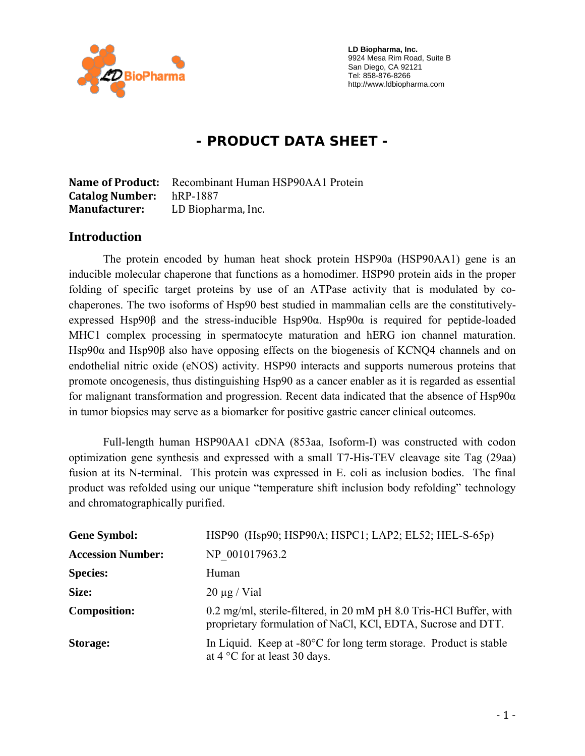

 **LD Biopharma, Inc.**  9924 Mesa Rim Road, Suite B San Diego, CA 92121 Tel: 858-876-8266 http://www.ldbiopharma.com

# **- PRODUCT DATA SHEET -**

**Name of Product:** Recombinant Human HSP90AA1 Protein **Catalog Number:** hRP-1887 **Manufacturer:** LD Biopharma, Inc.

#### **Introduction**

The protein encoded by human heat shock protein HSP90a (HSP90AA1) gene is an inducible molecular chaperone that functions as a homodimer. HSP90 protein aids in the proper folding of specific target proteins by use of an ATPase activity that is modulated by cochaperones. The two isoforms of Hsp90 best studied in mammalian cells are the constitutivelyexpressed Hsp90β and the stress-inducible Hsp90α. Hsp90α is required for peptide-loaded MHC1 complex processing in spermatocyte maturation and hERG ion channel maturation. Hsp90α and Hsp90β also have opposing effects on the biogenesis of KCNQ4 channels and on endothelial nitric oxide (eNOS) activity. HSP90 interacts and supports numerous proteins that promote oncogenesis, thus distinguishing Hsp90 as a cancer enabler as it is regarded as essential for malignant transformation and progression. Recent data indicated that the absence of  $Hsp90\alpha$ in tumor biopsies may serve as a biomarker for positive gastric cancer clinical outcomes.

Full-length human HSP90AA1 cDNA (853aa, Isoform-I) was constructed with codon optimization gene synthesis and expressed with a small T7-His-TEV cleavage site Tag (29aa) fusion at its N-terminal. This protein was expressed in E. coli as inclusion bodies. The final product was refolded using our unique "temperature shift inclusion body refolding" technology and chromatographically purified.

| <b>Gene Symbol:</b>      | HSP90 (Hsp90; HSP90A; HSPC1; LAP2; EL52; HEL-S-65p)                                                                                |
|--------------------------|------------------------------------------------------------------------------------------------------------------------------------|
| <b>Accession Number:</b> | NP 001017963.2                                                                                                                     |
| <b>Species:</b>          | Human                                                                                                                              |
| Size:                    | $20 \mu g$ / Vial                                                                                                                  |
| <b>Composition:</b>      | 0.2 mg/ml, sterile-filtered, in 20 mM pH 8.0 Tris-HCl Buffer, with<br>proprietary formulation of NaCl, KCl, EDTA, Sucrose and DTT. |
| <b>Storage:</b>          | In Liquid. Keep at $-80^{\circ}$ C for long term storage. Product is stable<br>at $4^{\circ}$ C for at least 30 days.              |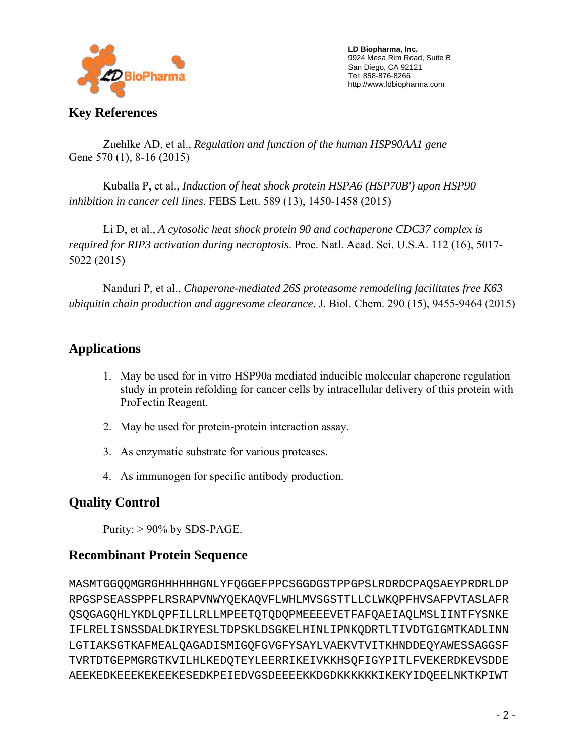

 **LD Biopharma, Inc.**  9924 Mesa Rim Road, Suite B San Diego, CA 92121 Tel: 858-876-8266 http://www.ldbiopharma.com

**Key References** 

 Zuehlke AD, et al., *Regulation and function of the human HSP90AA1 gene* Gene 570 (1), 8-16 (2015)

 Kuballa P, et al., *Induction of heat shock protein HSPA6 (HSP70B') upon HSP90 inhibition in cancer cell lines*. FEBS Lett. 589 (13), 1450-1458 (2015)

 Li D, et al., *A cytosolic heat shock protein 90 and cochaperone CDC37 complex is required for RIP3 activation during necroptosis*. Proc. Natl. Acad. Sci. U.S.A. 112 (16), 5017- 5022 (2015)

 Nanduri P, et al., *Chaperone-mediated 26S proteasome remodeling facilitates free K63 ubiquitin chain production and aggresome clearance*. J. Biol. Chem. 290 (15), 9455-9464 (2015)

# **Applications**

- 1. May be used for in vitro HSP90a mediated inducible molecular chaperone regulation study in protein refolding for cancer cells by intracellular delivery of this protein with ProFectin Reagent.
- 2. May be used for protein-protein interaction assay.
- 3. As enzymatic substrate for various proteases.
- 4. As immunogen for specific antibody production.

## **Quality Control**

Purity:  $> 90\%$  by SDS-PAGE.

## **Recombinant Protein Sequence**

MASMTGGQQMGRGHHHHHHGNLYFQGGEFPPCSGGDGSTPPGPSLRDRDCPAQSAEYPRDRLDP RPGSPSEASSPPFLRSRAPVNWYQEKAQVFLWHLMVSGSTTLLCLWKQPFHVSAFPVTASLAFR QSQGAGQHLYKDLQPFILLRLLMPEETQTQDQPMEEEEVETFAFQAEIAQLMSLIINTFYSNKE IFLRELISNSSDALDKIRYESLTDPSKLDSGKELHINLIPNKQDRTLTIVDTGIGMTKADLINN LGTIAKSGTKAFMEALQAGADISMIGQFGVGFYSAYLVAEKVTVITKHNDDEQYAWESSAGGSF TVRTDTGEPMGRGTKVILHLKEDQTEYLEERRIKEIVKKHSQFIGYPITLFVEKERDKEVSDDE AEEKEDKEEEKEKEEKESEDKPEIEDVGSDEEEEKKDGDKKKKKKIKEKYIDQEELNKTKPIWT